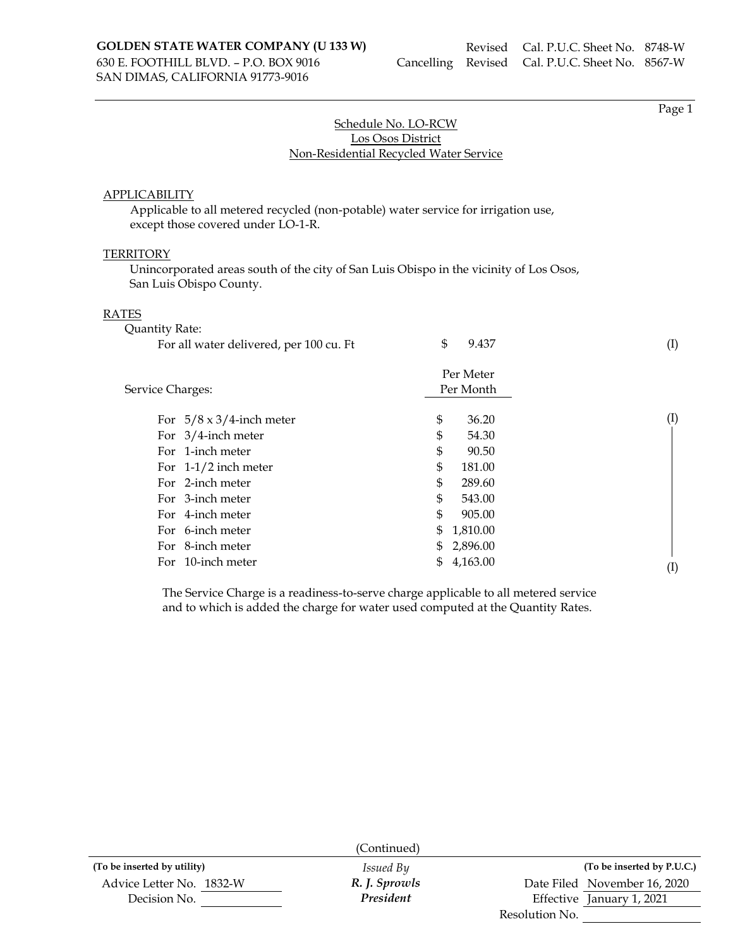SAN DIMAS, CALIFORNIA 91773-9016

Page 1

## Schedule No. LO-RCW Los Osos District Non-Residential Recycled Water Service

### APPLICABILITY

Applicable to all metered recycled (non-potable) water service for irrigation use, except those covered under LO-1-R.

### **TERRITORY**

Unincorporated areas south of the city of San Luis Obispo in the vicinity of Los Osos, San Luis Obispo County.

#### RATES

| Quantity Rate:                          |                        |                            |
|-----------------------------------------|------------------------|----------------------------|
| For all water delivered, per 100 cu. Ft | \$<br>9.437            | (I)                        |
| Service Charges:                        | Per Meter<br>Per Month |                            |
| For $5/8 \times 3/4$ -inch meter        | \$<br>36.20            | (I)                        |
| For $3/4$ -inch meter                   | \$<br>54.30            |                            |
| For 1-inch meter                        | \$<br>90.50            |                            |
| For $1-1/2$ inch meter                  | \$<br>181.00           |                            |
| For 2-inch meter                        | \$<br>289.60           |                            |
| For 3-inch meter                        | \$<br>543.00           |                            |
| For 4-inch meter                        | \$<br>905.00           |                            |
| For 6-inch meter                        | \$<br>1,810.00         |                            |
| For 8-inch meter                        | \$<br>2,896.00         |                            |
| For 10-inch meter                       | \$<br>4,163.00         | $\left( \mathrm{I}\right)$ |

The Service Charge is a readiness-to-serve charge applicable to all metered service and to which is added the charge for water used computed at the Quantity Rates.

|                             | (Continued)      |                              |  |
|-----------------------------|------------------|------------------------------|--|
| (To be inserted by utility) | <i>Issued By</i> | (To be inserted by P.U.C.)   |  |
| Advice Letter No. 1832-W    | R. J. Sprowls    | Date Filed November 16, 2020 |  |
| Decision No.                | President        | Effective January 1, 2021    |  |
|                             |                  | Resolution No.               |  |